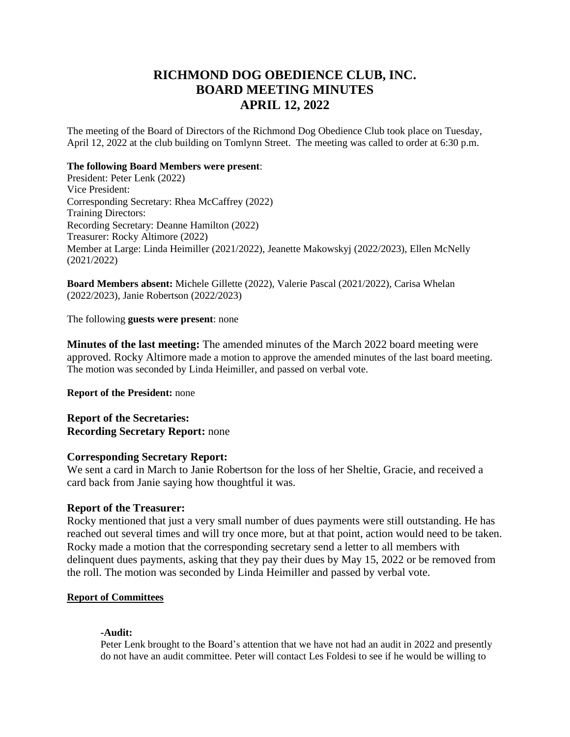# **RICHMOND DOG OBEDIENCE CLUB, INC. BOARD MEETING MINUTES APRIL 12, 2022**

The meeting of the Board of Directors of the Richmond Dog Obedience Club took place on Tuesday, April 12, 2022 at the club building on Tomlynn Street. The meeting was called to order at 6:30 p.m.

### **The following Board Members were present**:

President: Peter Lenk (2022) Vice President: Corresponding Secretary: Rhea McCaffrey (2022) Training Directors: Recording Secretary: Deanne Hamilton (2022) Treasurer: Rocky Altimore (2022) Member at Large: Linda Heimiller (2021/2022), Jeanette Makowskyj (2022/2023), Ellen McNelly (2021/2022)

**Board Members absent:** Michele Gillette (2022), Valerie Pascal (2021/2022), Carisa Whelan (2022/2023), Janie Robertson (2022/2023)

The following **guests were present**: none

**Minutes of the last meeting:** The amended minutes of the March 2022 board meeting were approved. Rocky Altimore made a motion to approve the amended minutes of the last board meeting. The motion was seconded by Linda Heimiller, and passed on verbal vote.

**Report of the President:** none

**Report of the Secretaries: Recording Secretary Report:** none

# **Corresponding Secretary Report:**

We sent a card in March to Janie Robertson for the loss of her Sheltie, Gracie, and received a card back from Janie saying how thoughtful it was.

# **Report of the Treasurer:**

Rocky mentioned that just a very small number of dues payments were still outstanding. He has reached out several times and will try once more, but at that point, action would need to be taken. Rocky made a motion that the corresponding secretary send a letter to all members with delinquent dues payments, asking that they pay their dues by May 15, 2022 or be removed from the roll. The motion was seconded by Linda Heimiller and passed by verbal vote.

# **Report of Committees**

#### **-Audit:**

Peter Lenk brought to the Board's attention that we have not had an audit in 2022 and presently do not have an audit committee. Peter will contact Les Foldesi to see if he would be willing to